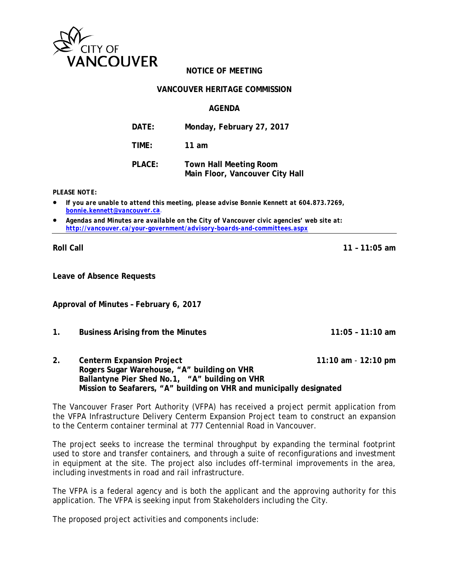

# **NOTICE OF MEETING**

#### **VANCOUVER HERITAGE COMMISSION**

#### **AGENDA**

| DATE:         | Monday, February 27, 2017                                        |
|---------------|------------------------------------------------------------------|
| TIME:         | 11 am                                                            |
| <b>PLACE:</b> | <b>Town Hall Meeting Room</b><br>Main Floor, Vancouver City Hall |

*PLEASE NOTE:*

- *If you are unable to attend this meeting, please advise Bonnie Kennett at 604.873.7269, [bonnie.kennett@vancouve](mailto:bonnie.kennett@vancouv)r.ca*.
- *Agendas and Minutes are available on the City of Vancouver civic agencies' web site at: <http://vancouver.ca/your-government/advisory-boards-and-committees.aspx>*

**Roll Call 11 – 11:05 am**

**Leave of Absence Requests**

**Approval of Minutes – February 6, 2017** 

**1. Business Arising from the Minutes 11:05 – 11:10 am**

**2. Centerm Expansion Project 11:10 am** - **12:10 pm Rogers Sugar Warehouse, "A" building on VHR Ballantyne Pier Shed No.1, "A" building on VHR Mission to Seafarers, "A" building on VHR and municipally designated** 

The Vancouver Fraser Port Authority (VFPA) has received a project permit application from the VFPA Infrastructure Delivery Centerm Expansion Project team to construct an expansion to the Centerm container terminal at 777 Centennial Road in Vancouver.

The project seeks to increase the terminal throughput by expanding the terminal footprint used to store and transfer containers, and through a suite of reconfigurations and investment in equipment at the site. The project also includes off-terminal improvements in the area, including investments in road and rail infrastructure.

The VFPA is a federal agency and is both the applicant and the approving authority for this application. The VFPA is seeking input from Stakeholders including the City.

The proposed project activities and components include: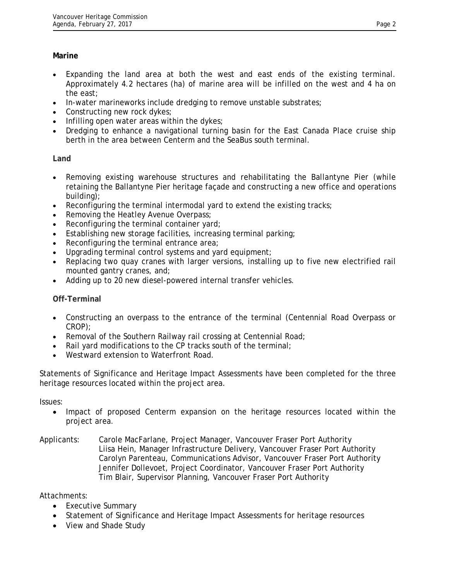# **Marine**

- Expanding the land area at both the west and east ends of the existing terminal. Approximately 4.2 hectares (ha) of marine area will be infilled on the west and 4 ha on the east;
- In-water marineworks include dredging to remove unstable substrates;
- Constructing new rock dykes;
- Infilling open water areas within the dykes;
- Dredging to enhance a navigational turning basin for the East Canada Place cruise ship berth in the area between Centerm and the SeaBus south terminal.

# **Land**

- Removing existing warehouse structures and rehabilitating the Ballantyne Pier (while retaining the Ballantyne Pier heritage façade and constructing a new office and operations building);
- Reconfiguring the terminal intermodal yard to extend the existing tracks;
- Removing the Heatley Avenue Overpass;
- Reconfiguring the terminal container yard;
- Establishing new storage facilities, increasing terminal parking;
- Reconfiguring the terminal entrance area;
- Upgrading terminal control systems and yard equipment;
- Replacing two quay cranes with larger versions, installing up to five new electrified rail mounted gantry cranes, and;
- Adding up to 20 new diesel-powered internal transfer vehicles.

### **Off-Terminal**

- Constructing an overpass to the entrance of the terminal (Centennial Road Overpass or CROP);
- Removal of the Southern Railway rail crossing at Centennial Road;
- Rail yard modifications to the CP tracks south of the terminal;
- Westward extension to Waterfront Road.

Statements of Significance and Heritage Impact Assessments have been completed for the three heritage resources located within the project area.

Issues:

• Impact of proposed Centerm expansion on the heritage resources located within the project area.

### Applicants: Carole MacFarlane, Project Manager, Vancouver Fraser Port Authority Liisa Hein, Manager Infrastructure Delivery, Vancouver Fraser Port Authority Carolyn Parenteau, Communications Advisor, Vancouver Fraser Port Authority Jennifer Dollevoet, Project Coordinator, Vancouver Fraser Port Authority Tim Blair, Supervisor Planning, Vancouver Fraser Port Authority

Attachments:

- Executive Summary
- Statement of Significance and Heritage Impact Assessments for heritage resources
- View and Shade Study